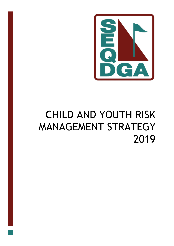

# CHILD AND YOUTH RISK MANAGEMENT STRATEGY 2019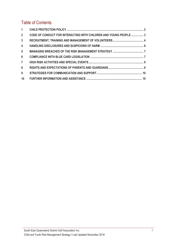# Table of Contents

| $2^{\circ}$     | CODE OF CONDUCT FOR INTERACTING WITH CHILDREN AND YOUNG PEOPLE  3 |  |
|-----------------|-------------------------------------------------------------------|--|
| 3 <sup>1</sup>  |                                                                   |  |
| $\overline{4}$  |                                                                   |  |
| $5\overline{)}$ |                                                                   |  |
| $6\overline{6}$ |                                                                   |  |
| $7^{\circ}$     |                                                                   |  |
| 8               |                                                                   |  |
| 9               |                                                                   |  |
| 10 <sup>1</sup> |                                                                   |  |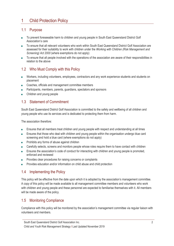# 1 Child Protection Policy

#### 1.1 Purpose

- To prevent foreseeable harm to children and young people in South East Queensland District Golf Association's care
- To ensure that all relevant volunteers who work within South East Queensland District Golf Association are assessed for their suitability to work with children under the *Working with Children (Risk Management and Screening) Act 2000* (where exemptions do not apply)
- To ensure that all people involved with the operations of the association are aware of their responsibilities in relation to the above

## 1.2 Who Must Comply with this Policy

- Workers, including volunteers, employees, contractors and any work experience students and students on placement
- Coaches, officials and management committee members
- Participants, members, parents, guardians, spectators and sponsors
- Children and young people

## 1.3 Statement of Commitment

South East Queensland District Golf Association is committed to the safety and wellbeing of all children and young people who use its services and is dedicated to protecting them from harm.

The association therefore:

- Ensures that all members treat children and young people with respect and understanding at all times
- Ensures that those who deal with children and young people within the organisation undergo blue card screening and hold a blue card (where exemptions do not apply)
- Prohibits any forms of abuse against children
- Carefully selects, screens and monitors people whose roles require them to have contact with children
- Ensures the association's code of conduct for interacting with children and young people is promoted, enforced and reviewed
- Provides clear procedures for raising concerns or complaints
- Provides education and/or information on child abuse and child protection

## 1.4 Implementing the Policy

This policy will be effective from the date upon which it is adopted by the association's management committee. A copy of this policy will be made available to all management committee members and volunteers who work with children and young people and these personnel are expected to familiarise themselves with it. All members will be made aware of the policy.

## 1.5 Monitoring Compliance

Compliance with this policy will be monitored by the association's management committee via regular liaison with volunteers and members.

South East Queensland District Golf Association Inc.

Child and Youth Risk Management Strategy I Last Updated November 2019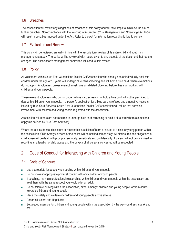## 1.6 Breaches

The association will review any allegations of breaches of this policy and will take steps to minimise the risk of further breaches. Non-compliance with the *Working with Children (Risk Management and Screening) Act 2000* will result in penalties imposed under the Act. Refer to the Act for information regarding failure to comply.

## 1.7 Evaluation and Review

This policy will be reviewed annually, in line with the association's review of its entire child and youth risk management strategy. The policy will be reviewed with regard given to any aspects of the document that require changes. The association's management committee will conduct this review.

## 1.8 Policy

All volunteers within South East Queensland District Golf Association who directly and/or individually deal with children under the age of 18 years will undergo blue card screening and will hold a blue card (where exemptions do not apply). A volunteer, unless exempt, must have a validated blue card before they start working with children and young people.

Those relevant volunteers who do not undergo blue card screening or hold a blue card will not be permitted to deal with children or young people. If a person's application for a blue card is refused and a negative notice is issued by Blue Card Services, South East Queensland District Golf Association will refuse that person's involvement with children and young people registered with the association.

Association volunteers are not required to undergo blue card screening or hold a blue card where exemptions apply (as defined by Blue Card Services).

Where there is evidence, disclosure or reasonable suspicion of harm or abuse to a child or young person within the association, Child Safety Services or the police will be notified immediately. All disclosures and allegations of child abuse will be dealt with promptly, seriously, sensitively and confidentially. A person will not be victimised for reporting an allegation of child abuse and the privacy of all persons concerned will be respected.

# 2 Code of Conduct for Interacting with Children and Young People

## 2.1 Code of Conduct

- Use appropriate language when dealing with children and young people
- Do not make inappropriate physical contact with any children or young people
- If coaching, maintain professional relationships with children and young people within the association and treat them with the same respect you would offer an adult
- Do not tolerate bullying within the association, either amongst children and young people, or from adults towards children and young people
- Place the safety and welfare of children and young people above all else
- Report all violent and illegal acts
- Set a good example for children and young people within the association by the way you dress, speak and act

South East Queensland District Golf Association Inc.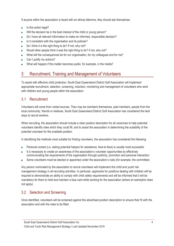If anyone within the association is faced with an ethical dilemma, they should ask themselves:

- Is this action legal?
- Will the decision be in the best interest of the child or young person?
- Do I have all relevant information to make an informed, responsible decision?
- Is it consistent with the organisation and its policies?
- Do I think it is the right thing to do? If not, why not?
- Would other people think it was the right thing to do? If not, why not?
- What will the consequences be for our organisation, for my colleagues and for me?
- Can I justify my actions?
- What will happen if this matter becomes public, for example, in the media?

# 3 Recruitment, Training and Management of Volunteers

To assist with effective child protection, South East Queensland District Golf Association will implement appropriate recruitment, selection, screening, induction, monitoring and management of volunteers who work with children and young people within the association.

## 3.1 Recruitment

Volunteers will come from varied sources. They may be members themselves, past members, people from the local community, friends or relatives. South East Queensland District Golf Association has considered the best ways to recruit workers.

When recruiting, the association should include a clear position description for all vacancies to help potential volunteers identify roles which they could fill, and to assist the association in determining the suitability of the potential volunteer for the available position.

In identifying the methods most suitable for finding volunteers, the association has considered the following:

- Personal contact (i.e. asking potential helpers for assistance, face-to-face) is usually most successful
- It is necessary to create an awareness of the association's volunteer opportunities by effectively communicating the requirements of the organisation through publicity, promotion and personal interaction
- Some volunteers must be elected or appointed under the association's rules (for example, the committee)

Any person nominated by the association to recruit volunteers will implement this child and youth risk management strategy in all recruiting activities. In particular, applicants for positions dealing with children will be required to demonstrate an ability to comply with child safety requirements and will be informed that it will be mandatory for them to hold and maintain a blue card while working for the association (where an exemption does not apply).

## 3.2 Selection and Screening

Once identified, volunteers will be screened against the advertised position description to ensure their fit with the association and with the roles to be filled.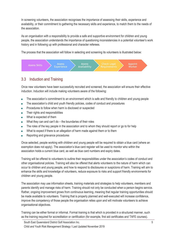In screening volunteers, the association recognises the importance of assessing their skills, experience and availability, or their commitment to gathering the necessary skills and experience, to match them to the needs of the association.

As an organisation with a responsibility to provide a safe and supportive environment for children and young people, the association understands the importance of questioning inconsistencies in a potential volunteer's work history and in following up with professional and character referees.

The process that the association will follow in selecting and screening its volunteers is illustrated below:



## 3.3 Induction and Training

Once new volunteers have been successfully recruited and screened, the association will ensure their effective induction. Induction will include making volunteers aware of the following:

- The association's commitment to an environment which is safe and friendly to children and young people
- The association's child and youth friendly policies, codes of conduct and procedures
- Procedures to follow when harm is disclosed or suspected
- Their rights and responsibilities
- What is expected of them
- What they can and can't do the boundaries of their roles
- The roles of the key people in the association and to whom they should report or go to for help
- What to expect if there is an allegation of harm made against them or to them
- Reporting and grievance procedures

Once selected, people working with children and young people will be required to obtain a blue card (where an exemption does not apply). The association's blue card register will be used to monitor who within the association holds a current blue card, as well as blue card numbers and expiry dates.

Training will be offered to volunteers to outline their responsibilities under the association's codes of conduct and other organisational policies. Training will also be offered that alerts volunteers to the nature of harm which can occur to children and young people, and how to respond to disclosures or suspicions of harm. Training will aim to enhance the skills and knowledge of volunteers, reduce exposure to risks and support friendly environments for children and young people.

The association may use information sheets, training materials and strategies to help volunteers, members and parents identify and manage risks of harm. Training should not only be conducted when a person begins service. Rather, ongoing improvement grows from continuous learning, meaning that regular training opportunities should be made available to volunteers. Training that is properly planned and well-executed will increase confidence, improve the competency of those people the organisation relies upon and will motivate volunteers to achieve organisational objectives.

Training can be either formal or informal. Formal training is that which is provided in a structured manner, such as the training required for accreditation or certification (for example, first aid certificates and TAFE courses).

South East Queensland District Golf Association Inc.

Child and Youth Risk Management Strategy I Last Updated November 2019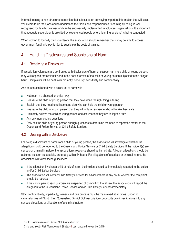Informal training is non-structured education that is focused on conveying important information that will assist volunteers to do their jobs and to understand their roles and responsibilities. 'Learning by doing' is well recognised for its effectiveness and can be successfully implemented in volunteer organisations. It is important that adequate supervision is provided by experienced people where 'learning by doing' is being conducted.

When looking to formally train volunteers, the association should remember that it may be able to access government funding to pay for (or to subsidise) the costs of training.

# 4 Handling Disclosures and Suspicions of Harm

#### 4.1 Receiving a Disclosure

If association volunteers are confronted with disclosures of harm or suspect harm to a child or young person, they will respond professionally and in the best interests of the child or young person subjected to the alleged harm. Complaints will be dealt with promptly, seriously, sensitively and confidentially.

Any person confronted with disclosures of harm will:

- Not react in a shocked or critical way
- Reassure the child or young person that they have done the right thing in telling
- Explain that they need to tell someone else who can help the child or young person
- Reassure the child or young person that they will only tell someone who will make them safe
- Ultimately believe the child or young person and assume that they are telling the truth
- Ask only non-leading questions
- Only ask the child or young person enough questions to determine the need to report the matter to the Queensland Police Service or Child Safety Services

## 4.2 Dealing with a Disclosure

Following a disclosure of harm from a child or young person, the association will investigate whether the allegation should be reported to the Queensland Police Service or Child Safety Services. If the incident(s) are serious or criminal in nature, the association's response should be immediate. All other allegations should be actioned as soon as possible, preferably within 24 hours. For allegations of a serious or criminal nature, the association will follow these guidelines:

- If the allegation involves a child at risk of harm, the incident should be immediately reported to the police and/or Child Safety Services
- The association will contact Child Safety Services for advice if there is any doubt whether the complaint should be reported
- If the child's parent(s) or guardian are suspected of committing the abuse, the association will report the allegation to the Queensland Police Service and/or Child Safety Services immediately

Strict confidentiality, impartiality, fairness and due process must be maintained at all times. Under no circumstances will South East Queensland District Golf Association conduct its own investigations into any serious allegations or allegations of a criminal nature.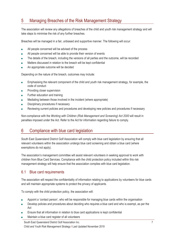# 5 Managing Breaches of the Risk Management Strategy

The association will review any allegations of breaches of the child and youth risk management strategy and will take steps to minimise the risk of any further breaches.

Breaches will be managed in a fair, unbiased and supportive manner. The following will occur:

- All people concerned will be advised of the process
- All people concerned will be able to provide their version of events
- The details of the breach, including the versions of all parties and the outcome, will be recorded
- Matters discussed in relation to the breach will be kept confidential
- An appropriate outcome will be decided

Depending on the nature of the breach, outcomes may include:

- Emphasising the relevant component of the child and youth risk management strategy, for example, the code of conduct
- Providing closer supervision
- Further education and training
- Mediating between those involved in the incident (where appropriate)
- Disciplinary procedures if necessary
- Reviewing current policies and procedures and developing new policies and procedures if necessary

Non-compliance with the *Working with Children (Risk Management and Screening) Act 2000* will result in penalties imposed under the Act. Refer to the Act for information regarding failure to comply.

# 6 Compliance with blue card legislation

South East Queensland District Golf Association will comply with blue card legislation by ensuring that all relevant volunteers within the association undergo blue card screening and obtain a blue card (where exemptions do not apply).

The association's management committee will assist relevant volunteers in seeking approval to work with children from Blue Card Services. Compliance with the child protection policy included within this risk management strategy will help ensure that the association complies with blue card legislation.

#### 6.1 Blue card requirements

The association will respect the confidentiality of information relating to applications by volunteers for blue cards and will maintain appropriate systems to protect the privacy of applicants.

To comply with the child protection policy, the association will:

- Appoint a 'contact person', who will be responsible for managing blue cards within the organisation
- Develop policies and procedures about deciding who requires a blue card and who is exempt, as per the Act
- Ensure that all information in relation to blue card applications is kept confidential
- Maintain a blue card register of all volunteers

South East Queensland District Golf Association Inc.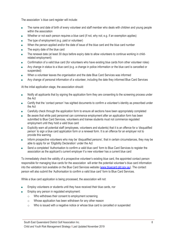The association 's blue card register will include:

- The name and date of birth of every volunteer and staff member who deals with children and young people within the association
- Whether or not each person requires a blue card (if not, why not; e.g. if an exemption applies)
- The type of employment (e.g. paid or volunteer)
- When the person applied and/or the date of issue of the blue card and the blue card number
- The expiry date of the blue card
- The renewal date (at least 30 days before expiry date to allow volunteers to continue working in childrelated employment)
- Confirmation of a valid blue card (for volunteers who have existing blue cards from other volunteer roles)
- Any change in status to a blue card (e.g. a change in police information or the blue card is cancelled or suspended)
- When a volunteer leaves the organisation and the date Blue Card Services was informed
- Any change of personal information of a volunteer, including the date they informed Blue Card Services

At the initial application stage, the association should:

- Notify all applicants that by signing the application form they are consenting to the screening process under the Act
- Certify that the 'contact person' has sighted documents to confirm a volunteer's identity as prescribed under the Act
- Carefully check through the application form to ensure all sections have been appropriately completed
- Be aware that while paid personnel can commence employment after an application form has been submitted to Blue Card Services, volunteers and trainee students must not commence regulated employment until they hold a valid blue card
- Explicitly warn all potential staff (employees, volunteers and students) that it is an offence for a 'disqualified person' to sign a blue card application form or a renewal form. It is an offence for an employer not to provide this warning
- Inform prospective volunteers who may be 'disqualified persons', that in certain circumstances, they may be able to apply for an 'Eligibility Declaration' under the Act
- Send a completed 'Authorisation to confirm a valid blue card' form to Blue Card Services to register the association as the applicant's current employer if a new volunteer has a current blue card

To immediately check the validity of a prospective volunteer's existing blue card, the appointed contact person responsible for managing blue cards for the association will enter the potential volunteer's blue card information into the validation tool available on the Blue Card Services website (www.bluecard.qld.gov.au). The contact person will also submit the 'Authorisation to confirm a valid blue card' form to Blue Card Services.

While a blue card application is being processed, the association will not:

- Employ volunteers or students until they have received their blue cards, nor
- Employ any person in regulated employment:
	- o Who withdraws their consent to employment screening
	- o Whose application has been withdrawn for any other reason
	- $\circ$  Who is issued with a negative notice or whose blue card is cancelled or suspended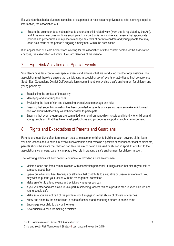If a volunteer has had a blue card cancelled or suspended or receives a negative notice after a change in police information, the association will:

Ensure the volunteer does not continue to undertake child related work (work that is regulated by the Act), and if the volunteer does continue employment in work that is not child-related, ensure that appropriate policies and procedures are in place to manage any risks of harm to children and young people that may arise as a result of the person's ongoing employment within the association

If an applicant or blue card holder stops working for the association or if the contact person for the association changes, the association will notify Blue Card Services of the change.

# 7 High Risk Activities and Special Events

Volunteers have less control over special events and activities that are conducted by other organisations. The association must therefore ensure that participating in special or 'away' events or activities will not compromise South East Queensland District Golf Association's commitment to providing a safe environment for children and young people by:

- Establishing the context of the activity
- Identifying and analysing the risks
- Evaluating the level of risk and developing procedures to manage any risks
- Ensuring that enough information has been provided to parents or carers so they can make an informed decision about whether they want their children to participate
- Ensuring that event organisers are committed to an environment which is safe and friendly for children and young people and that they have developed policies and procedures supporting such an environment

## 8 Rights and Expectations of Parents and Guardians

Parents and guardians often turn to sport as a safe place for children to build character, develop skills, learn valuable lessons and to have fun. While involvement in sport remains a positive experience for most participants, parents should be aware that children can face the risk of being harassed or abused in sport. In addition to the association's volunteers, parents can play a key role in creating a safe environment for children in sport.

The following actions will help parents contribute to providing a safe environment:

- Maintain open and frank communication with association personnel. If things occur that disturb you, talk to someone about them
- Speak out when you hear language or attitudes that contribute to a negative or unsafe environment. You may wish to pursue your issues with the management committee
- Make an effort to attend events and activities whenever you can
- If you volunteer and are asked to take part in screening, accept this as a positive step to keep children and young people safe
- Make sure you are not part of the problem; don't engage in verbal abuse of officials or coaches
- Know and abide by the association 's codes of conduct and encourage others to do the same
- Encourage your child to play by the rules
- Never ridicule a child for making a mistake

South East Queensland District Golf Association Inc.